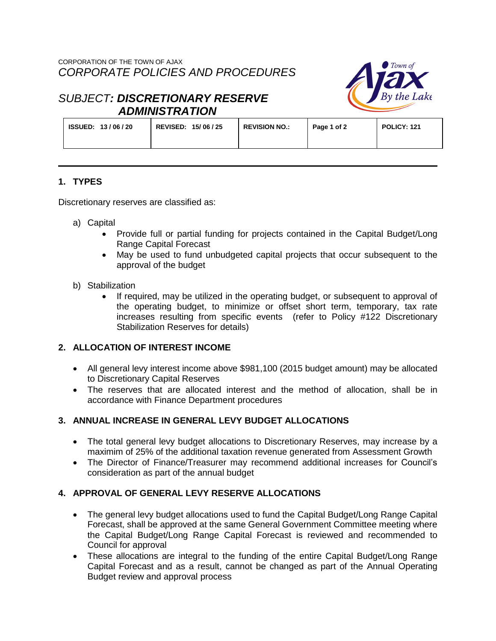

# *SUBJECT: DISCRETIONARY RESERVE ADMINISTRATION*

| <b>ISSUED: 13/06/20</b><br>REVISED: 15/06/25 | <b>REVISION NO.:</b> | Page 1 of 2 | POLICY: 121 |
|----------------------------------------------|----------------------|-------------|-------------|
|----------------------------------------------|----------------------|-------------|-------------|

## **1. TYPES**

Discretionary reserves are classified as:

- a) Capital
	- Provide full or partial funding for projects contained in the Capital Budget/Long Range Capital Forecast
	- May be used to fund unbudgeted capital projects that occur subsequent to the approval of the budget
- b) Stabilization
	- If required, may be utilized in the operating budget, or subsequent to approval of the operating budget, to minimize or offset short term, temporary, tax rate increases resulting from specific events (refer to Policy #122 Discretionary Stabilization Reserves for details)

## **2. ALLOCATION OF INTEREST INCOME**

- All general levy interest income above \$981,100 (2015 budget amount) may be allocated to Discretionary Capital Reserves
- The reserves that are allocated interest and the method of allocation, shall be in accordance with Finance Department procedures

## **3. ANNUAL INCREASE IN GENERAL LEVY BUDGET ALLOCATIONS**

- The total general levy budget allocations to Discretionary Reserves, may increase by a maximim of 25% of the additional taxation revenue generated from Assessment Growth
- The Director of Finance/Treasurer may recommend additional increases for Council's consideration as part of the annual budget

## **4. APPROVAL OF GENERAL LEVY RESERVE ALLOCATIONS**

- The general levy budget allocations used to fund the Capital Budget/Long Range Capital Forecast, shall be approved at the same General Government Committee meeting where the Capital Budget/Long Range Capital Forecast is reviewed and recommended to Council for approval
- These allocations are integral to the funding of the entire Capital Budget/Long Range Capital Forecast and as a result, cannot be changed as part of the Annual Operating Budget review and approval process